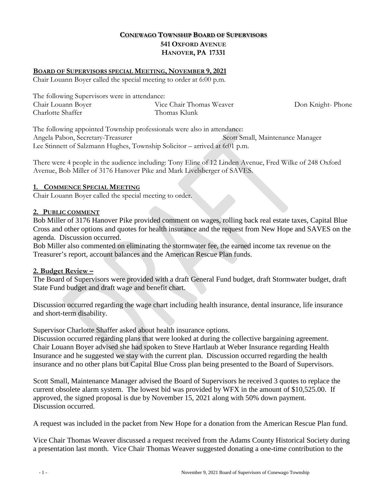# **CONEWAGO TOWNSHIP BOARD OF SUPERVISORS 541 OXFORD AVENUE HANOVER, PA 17331**

### **BOARD OF SUPERVISORS SPECIAL MEETING, NOVEMBER 9, 2021**

Chair Louann Boyer called the special meeting to order at 6:00 p.m.

| The following Supervisors were in attendance: |                          |                  |
|-----------------------------------------------|--------------------------|------------------|
| Chair Louann Boyer                            | Vice Chair Thomas Weaver | Don Knight-Phone |
| Charlotte Shaffer                             | Thomas Klunk             |                  |

The following appointed Township professionals were also in attendance: Angela Pabon, Secretary-Treasurer Scott Small, Maintenance Manager Lee Stinnett of Salzmann Hughes, Township Solicitor – arrived at 6:01 p.m.

There were 4 people in the audience including: Tony Eline of 12 Linden Avenue, Fred Wilke of 248 Oxford Avenue, Bob Miller of 3176 Hanover Pike and Mark Livelsberger of SAVES.

### **1. COMMENCE SPECIAL MEETING**

Chair Louann Boyer called the special meeting to order.

#### **2. PUBLIC COMMENT**

Bob Miller of 3176 Hanover Pike provided comment on wages, rolling back real estate taxes, Capital Blue Cross and other options and quotes for health insurance and the request from New Hope and SAVES on the agenda. Discussion occurred.

Bob Miller also commented on eliminating the stormwater fee, the earned income tax revenue on the Treasurer's report, account balances and the American Rescue Plan funds.

### **2. Budget Review –**

The Board of Supervisors were provided with a draft General Fund budget, draft Stormwater budget, draft State Fund budget and draft wage and benefit chart.

Discussion occurred regarding the wage chart including health insurance, dental insurance, life insurance and short-term disability.

Supervisor Charlotte Shaffer asked about health insurance options.

Discussion occurred regarding plans that were looked at during the collective bargaining agreement. Chair Louann Boyer advised she had spoken to Steve Hartlaub at Weber Insurance regarding Health Insurance and he suggested we stay with the current plan. Discussion occurred regarding the health insurance and no other plans but Capital Blue Cross plan being presented to the Board of Supervisors.

Scott Small, Maintenance Manager advised the Board of Supervisors he received 3 quotes to replace the current obsolete alarm system. The lowest bid was provided by WFX in the amount of \$10,525.00. If approved, the signed proposal is due by November 15, 2021 along with 50% down payment. Discussion occurred.

A request was included in the packet from New Hope for a donation from the American Rescue Plan fund.

Vice Chair Thomas Weaver discussed a request received from the Adams County Historical Society during a presentation last month. Vice Chair Thomas Weaver suggested donating a one-time contribution to the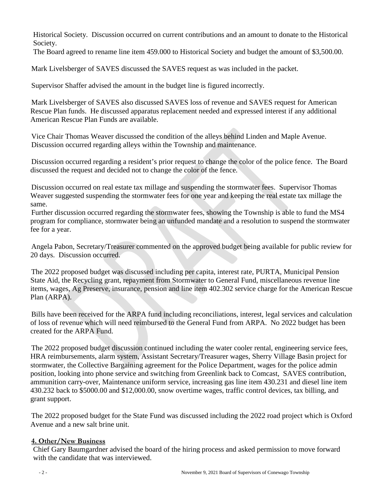Historical Society. Discussion occurred on current contributions and an amount to donate to the Historical Society.

The Board agreed to rename line item 459.000 to Historical Society and budget the amount of \$3,500.00.

Mark Livelsberger of SAVES discussed the SAVES request as was included in the packet.

Supervisor Shaffer advised the amount in the budget line is figured incorrectly.

Mark Livelsberger of SAVES also discussed SAVES loss of revenue and SAVES request for American Rescue Plan funds. He discussed apparatus replacement needed and expressed interest if any additional American Rescue Plan Funds are available.

Vice Chair Thomas Weaver discussed the condition of the alleys behind Linden and Maple Avenue. Discussion occurred regarding alleys within the Township and maintenance.

Discussion occurred regarding a resident's prior request to change the color of the police fence. The Board discussed the request and decided not to change the color of the fence.

Discussion occurred on real estate tax millage and suspending the stormwater fees. Supervisor Thomas Weaver suggested suspending the stormwater fees for one year and keeping the real estate tax millage the same.

Further discussion occurred regarding the stormwater fees, showing the Township is able to fund the MS4 program for compliance, stormwater being an unfunded mandate and a resolution to suspend the stormwater fee for a year.

Angela Pabon, Secretary/Treasurer commented on the approved budget being available for public review for 20 days. Discussion occurred.

The 2022 proposed budget was discussed including per capita, interest rate, PURTA, Municipal Pension State Aid, the Recycling grant, repayment from Stormwater to General Fund, miscellaneous revenue line items, wages, Ag Preserve, insurance, pension and line item 402.302 service charge for the American Rescue Plan (ARPA).

Bills have been received for the ARPA fund including reconciliations, interest, legal services and calculation of loss of revenue which will need reimbursed to the General Fund from ARPA. No 2022 budget has been created for the ARPA Fund.

The 2022 proposed budget discussion continued including the water cooler rental, engineering service fees, HRA reimbursements, alarm system, Assistant Secretary/Treasurer wages, Sherry Village Basin project for stormwater, the Collective Bargaining agreement for the Police Department, wages for the police admin position, looking into phone service and switching from Greenlink back to Comcast, SAVES contribution, ammunition carry-over, Maintenance uniform service, increasing gas line item 430.231 and diesel line item 430.232 back to \$5000.00 and \$12,000.00, snow overtime wages, traffic control devices, tax billing, and grant support.

The 2022 proposed budget for the State Fund was discussed including the 2022 road project which is Oxford Avenue and a new salt brine unit.

## **4. Other/New Business**

Chief Gary Baumgardner advised the board of the hiring process and asked permission to move forward with the candidate that was interviewed.